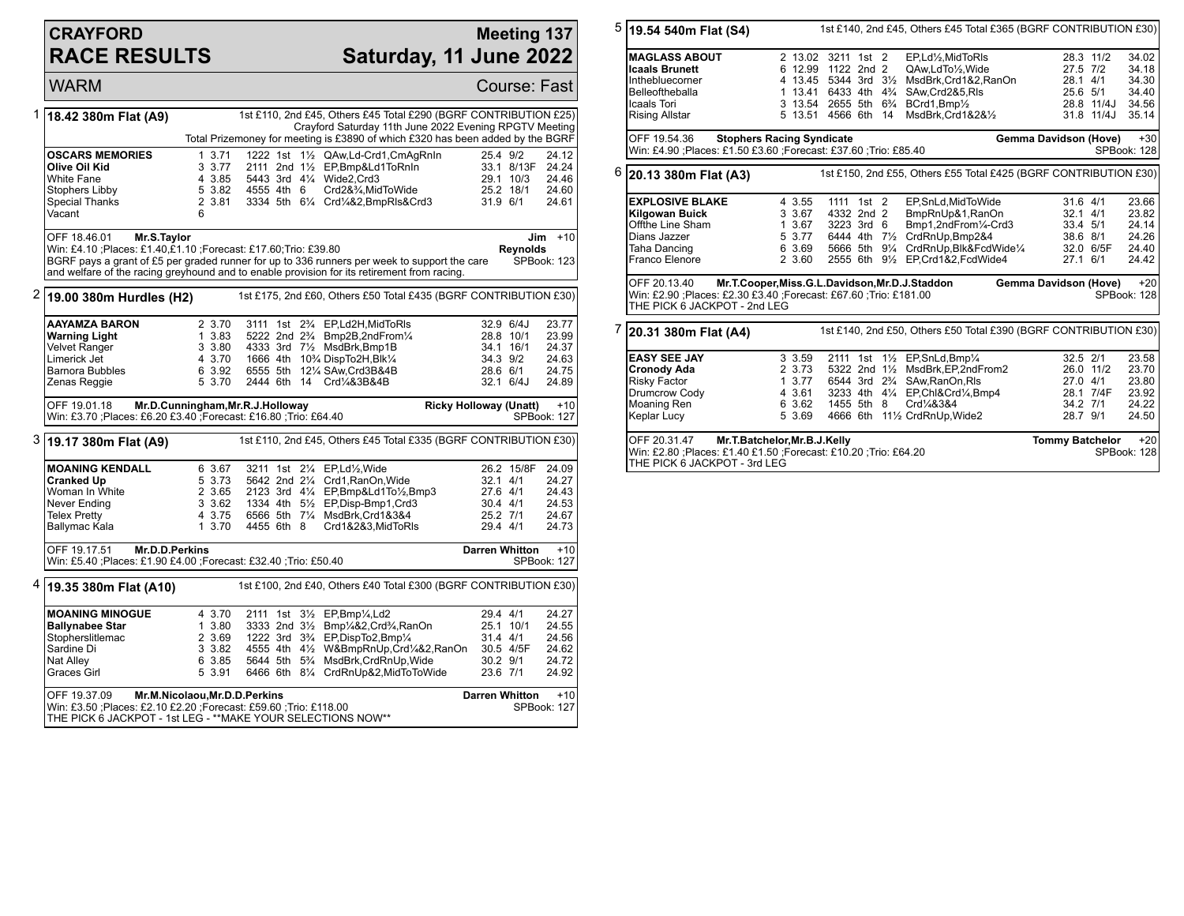## **CRAYFORD RACE RESULTS**

## **Meeting 137 Saturday, 11 June 2022**

WARM Course: Fast 1 **18.42 380m Flat (A9)** 1st £110, 2nd £45, Others £45 Total £290 (BGRF CONTRIBUTION £25) Crayford Saturday 11th June 2022 Evening RPGTV Meeting Total Prizemoney for meeting is £3890 of which £320 has been added by the BGRF **OSCARS MEMORIES** 1 3.71 1222 1st 1<sup>1</sup>/<sub>2</sub> QAw,Ld-Crd1,CmAgRnIn 25.4 9/2 24.12<br> **Olive Oil Kid** 3 3.77 2111 2nd 1<sup>1</sup>/<sub>2</sub> EP,Bmp&Ld1ToRnIn 33.1 8/13F 24.24 **Olive Oil Kid** 3 3.77 2111 2nd 1<sup>1</sup>/<sub>2</sub> EP,Bmp&Ld1ToRnIn 33.1 8/13F 24.24<br>
White Fane 3 3.85 5443 3rd 4<sup>1</sup>/<sub>4</sub> Wide2,Crd3 29.1 10/3 24.46 White Fane 4 3.85 5443 3rd 4¼ Wide2,Crd3 29.1 10/3 24.46 Stophers Libby 5 3.82 4555 4th 6 Crd2&¾,MidToWide 25.2 18/1 24.60 Special Thanks 2 3.81 3334 5th 6¼ Crd¼&2,BmpRls&Crd3 31.9 6/1 24.61 Vacant 6 OFF 18.46.01 **Mr.S.Taylor** Win: £4.10 ;Places: £1.40,£1.10 ;Forecast: £17.60;Trio: £39.80 BGRF pays a grant of £5 per graded runner for up to 336 runners per week to support the care and welfare of the racing greyhound and to enable provision for its retirement from racing. **Jim** +10 **Reynolds** SPBook: 123 2 **19.00 380m Hurdles (H2)** 1st £175, 2nd £60, Others £50 Total £435 (BGRF CONTRIBUTION £30) **AAYAMZA BARON** 2 3.70 3111 1st 2<sup>3</sup>/<sub>4</sub> EP,Ld2H,MidToRls 32.9 6/4J 23.77<br> **Warning Light** 1 3.83 5222 2nd 2<sup>3</sup>/<sub>4</sub> Bmp2B,2ndFrom<sup>1</sup>/<sub>4</sub> 28.8 10/1 23.99 **Warning Light** 1 3.83 5222 2nd 2<sup>3</sup>/<sub>2</sub> Bmp2B,2ndFrom<sup>1</sup>/<sub>4</sub><br>
Velvet Ranger 3 3.80 4333 3rd 7<sup>1</sup>/<sub>2</sub> MsdBrk,Bmp1B Velvet Ranger 3 3.80 4333 3rd 7½ MsdBrk,Bmp1B 34.1 16/1 24.37 Limerick Jet 4 3.70 1666 4th 10¾ DispTo2H,Blk¼ 34.3 9/2 24.63 Barnora Bubbles 6 3.92 6555 5th 12¼ SAw,Crd3B&4B 28.6 6/1 24.75 2444 6th 14 Crd¼&3B&4B OFF 19.01.18 **Mr.D.Cunningham,Mr.R.J.Holloway** Win: £3.70 ;Places: £6.20 £3.40 ;Forecast: £16.80 ;Trio: £64.40 **Ricky Holloway (Unatt)** +10 SPBook: 127 3 **19.17 380m Flat (A9)** 1st £110, 2nd £45, Others £45 Total £335 (BGRF CONTRIBUTION £30) **MOANING KENDALL** 6 3.67 3211 1st 2<sup>1</sup>/<sub>4</sub> EP,Ld<sup>1</sup>/<sub>2</sub>,Wide 26.2 15/8F 24.09<br>**Cranked Up** 5 3.73 5642 2nd 2<sup>1</sup>/<sub>4</sub> Crd1,RanOn,Wide 32.1 4/1 24.27 **Cranked Up** 5 3.73 5642 2nd 2¼ Crd1,RanOn,Wide 32.1 4/1 24.27<br>Woman In White 2 3.65 2123 3rd 4¼ EP.Bmp&Ld1To½.Bmp3 27.6 4/1 24.43 Woman In White 2 3.65 2123 3rd 4¼ EP,Bmp&Ld1To½,Bmp3 27.6 4/1 24.43 Never Ending 3 3.62 1334 4th 5<sup>1</sup>/<sub>2</sub> EP,Disp-Bmp1,Crd3 30.4 4/1 24.53<br>
Telex Pretty 30.4 4 3.75 6566 5th 7<sup>1</sup>/<sub>4</sub> MsdBrk,Crd18384 25.2 7/1 24.67 Telex Pretty 4 3.75 6566 5th 7¼ MsdBrk,Crd1&3&4 25.2 7/1 24.67 1 3.70 4455 6th 8 Crd1&2&3,MidToRls OFF 19.17.51 **Mr.D.D.Perkins** Win: £5.40 ;Places: £1.90 £4.00 ;Forecast: £32.40 ;Trio: £50.40 **Darren Whitton +10** SPBook: 127 4 **19.35 380m Flat (A10)** 1st £100, 2nd £40, Others £40 Total £300 (BGRF CONTRIBUTION £30) **MOANING MINOGUE** 4 3.70 2111 1st 3½ EP,Bmp¼,Ld2 29.4 4/1 24.27<br> **Ballynabee Star** 1 3.80 3333 2nd 3½ Bmp¼&2.Crd¾RanOn 25.1 10/1 24.55 **Ballynabee Star** 1 3.80 3333 2nd 3<sup>1</sup>/<sub>2</sub> Bmp<sup>1</sup>/<sub>4</sub>&2,Crd<sup>3</sup>/<sub>4</sub>,RanOn 25.1 10/1 24.55<br>Stopherslitlemac 2 3.69 1222 3rd 3<sup>3</sup>/<sub>4</sub> EP,DispTo2,Bmp<sup>1</sup>/<sub>4</sub> 31.4 4/1 24.56 Stopherslitlemac 2 3.69 1222 3rd 3<sup>3</sup>/<sub>4</sub> EP,DispTo2,Bmp<sup>1</sup>/<sub>4</sub> 31.4 4/1 24.56<br>Sardine Di 3 3.82 4555 4th 4<sup>1</sup>/<sub>2</sub> W&BmpRnUp,Crd<sup>1</sup>/<sub>4</sub>&2,RanOn 30.5 4/5F 24.62 Sardine Di 3 3.82 4555 4th 4½ W&BmpRnUp,Crd¼&2,RanOn 30.5 4/5F 24.62 Nat Alley 6 3.85 5644 5th 5¾ MsdBrk,CrdRnUp,Wide 30.2 9/1 24.72 5 3.91 6466 6th 81/4 CrdRnUp&2,MidToToWide OFF 19.37.09 **Mr.M.Nicolaou,Mr.D.D.Perkins** Win: £3.50 ;Places: £2.10 £2.20 ;Forecast: £59.60 ;Trio: £118.00 THE PICK 6 JACKPOT - 1st LEG - \*\*MAKE YOUR SELECTIONS NOW\*\* **Darren Whitton +10** SPBook: 127

|                                                                                                                        | $5 $ 19.54 540m Flat (S4)                                                                                                                                        |  | 1st £140, 2nd £45, Others £45 Total £365 (BGRF CONTRIBUTION £30) |                                        |  |  |                                                                  |                        |                       |                      |
|------------------------------------------------------------------------------------------------------------------------|------------------------------------------------------------------------------------------------------------------------------------------------------------------|--|------------------------------------------------------------------|----------------------------------------|--|--|------------------------------------------------------------------|------------------------|-----------------------|----------------------|
|                                                                                                                        | <b>MAGLASS ABOUT</b>                                                                                                                                             |  | 2 13.02 3211 1st 2                                               |                                        |  |  | EP,Ld1/2,MidToRIs                                                |                        | 28.3 11/2             | 34.02                |
|                                                                                                                        | <b>Icaals Brunett</b>                                                                                                                                            |  | 6 12.99 1122 2nd 2                                               |                                        |  |  | QAw,LdTo1/2,Wide                                                 | 27.5 7/2               |                       | 34.18                |
|                                                                                                                        | Inthebluecorner                                                                                                                                                  |  | 4 13.45 5344 3rd 31/2                                            |                                        |  |  | MsdBrk,Crd1&2,RanOn                                              |                        | 28.1 4/1              | 34.30                |
|                                                                                                                        | Belleoftheballa                                                                                                                                                  |  | 1 13.41 6433 4th 4 <sup>3</sup> / <sub>4</sub>                   |                                        |  |  | SAw, Crd2&5, RIs                                                 |                        | 25.6 5/1              | 34.40                |
|                                                                                                                        | Icaals Tori                                                                                                                                                      |  |                                                                  |                                        |  |  | 3 13.54 2655 5th 6% BCrd1, Bmp1/2                                |                        | 28.8 11/4J            | 34.56                |
|                                                                                                                        | <b>Rising Allstar</b>                                                                                                                                            |  | 5 13.51 4566 6th 14                                              |                                        |  |  | MsdBrk,Crd1&2&1/2                                                |                        | 31.8 11/4J            | 35.14                |
| OFF 19.54.36<br><b>Stophers Racing Syndicate</b><br>Win: £4.90 ; Places: £1.50 £3.60 ; Forecast: £37.60 ; Trio: £85.40 |                                                                                                                                                                  |  |                                                                  |                                        |  |  |                                                                  | Gemma Davidson (Hove)  |                       | $+30$<br>SPBook: 128 |
| $6$ 20.13 380m Flat (A3)<br>1st £150, 2nd £55, Others £55 Total £425 (BGRF CONTRIBUTION £30)                           |                                                                                                                                                                  |  |                                                                  |                                        |  |  |                                                                  |                        |                       |                      |
|                                                                                                                        | <b>EXPLOSIVE BLAKE</b>                                                                                                                                           |  | 4 3.55                                                           | 1111 1st 2                             |  |  | EP,SnLd,MidToWide                                                | $31.6$ 4/1             |                       | 23.66                |
|                                                                                                                        | Kilgowan Buick                                                                                                                                                   |  | 3 3.67                                                           | 4332 2nd 2                             |  |  | BmpRnUp&1, RanOn                                                 | $32.1$ 4/1             |                       | 23.82                |
|                                                                                                                        | Offthe Line Sham                                                                                                                                                 |  | 1 3.67                                                           | 3223 3rd 6                             |  |  | Bmp1,2ndFrom1/4-Crd3                                             | 33.4 5/1               |                       | 24.14                |
|                                                                                                                        | Dians Jazzer                                                                                                                                                     |  | 5 3.77                                                           |                                        |  |  | 6444 4th 71/2 CrdRnUp, Bmp2&4                                    |                        | 38.6 8/1              | 24.26                |
|                                                                                                                        | Taha Dancing                                                                                                                                                     |  | 6 3.69                                                           |                                        |  |  | 5666 5th 91/4 CrdRnUp, Blk&FcdWide1/4                            |                        | 32.0 6/5F             | 24.40                |
|                                                                                                                        | Franco Elenore                                                                                                                                                   |  | 2 3.60                                                           |                                        |  |  | 2555 6th 91/2 EP.Crd1&2.FcdWide4                                 | 27.1 6/1               |                       | 24.42                |
|                                                                                                                        | OFF 20.13.40<br>Mr.T.Cooper,Miss.G.L.Davidson,Mr.D.J.Staddon<br>Win: £2.90 ;Places: £2.30 £3.40 ;Forecast: £67.60 ;Trio: £181.00<br>THE PICK 6 JACKPOT - 2nd LEG |  |                                                                  |                                        |  |  |                                                                  |                        | Gemma Davidson (Hove) | $+20$<br>SPBook: 128 |
| 7                                                                                                                      | 20.31 380m Flat (A4)                                                                                                                                             |  |                                                                  |                                        |  |  | 1st £140, 2nd £50, Others £50 Total £390 (BGRF CONTRIBUTION £30) |                        |                       |                      |
|                                                                                                                        | <b>EASY SEE JAY</b>                                                                                                                                              |  | 3 3.59                                                           |                                        |  |  | 2111 1st 11/2 EP, SnLd, Bmp1/4                                   | 32.5 2/1               |                       | 23.58                |
|                                                                                                                        | <b>Cronody Ada</b>                                                                                                                                               |  | 2 3.73                                                           |                                        |  |  | 5322 2nd 11/2 MsdBrk, EP, 2nd From 2                             |                        | 26.0 11/2             | 23.70                |
|                                                                                                                        | Risky Factor                                                                                                                                                     |  | 13.77                                                            | 6544 3rd 2 <sup>3</sup> / <sub>4</sub> |  |  | SAw, RanOn, RIs                                                  |                        | 27.0 4/1              | 23.80                |
|                                                                                                                        | Drumcrow Cody                                                                                                                                                    |  | 4 3.61                                                           |                                        |  |  | 3233 4th 41/4 EP, Chl&Crd1/4, Bmp4                               |                        | 28.1 7/4F             | 23.92                |
|                                                                                                                        | Moaning Ren                                                                                                                                                      |  | 6 3.62                                                           | 1455 5th 8                             |  |  | Crd1/4&3&4                                                       |                        | 34.2 7/1              | 24.22                |
|                                                                                                                        | Keplar Lucy                                                                                                                                                      |  | 5 3.69                                                           |                                        |  |  | 4666 6th 111/2 CrdRnUp, Wide2                                    | 28.7 9/1               |                       | 24.50                |
|                                                                                                                        | Mr.T.Batchelor, Mr.B.J.Kelly<br>OFF 20.31.47<br>Win: £2.80 ; Places: £1.40 £1.50 ; Forecast: £10.20 ; Trio: £64.20<br>THE PICK 6 JACKPOT - 3rd LEG               |  |                                                                  |                                        |  |  |                                                                  | <b>Tommy Batchelor</b> |                       | $+20$<br>SPBook: 128 |